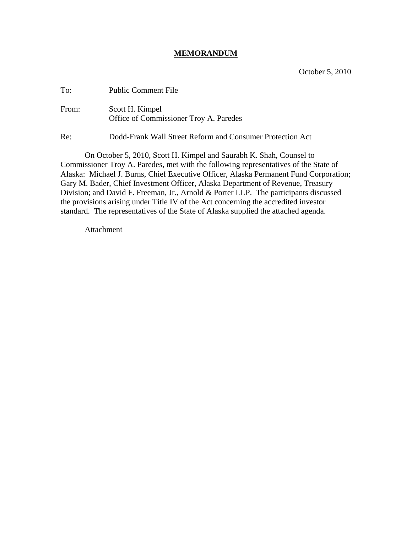## **MEMORANDUM**

| To:   | <b>Public Comment File</b>                                |
|-------|-----------------------------------------------------------|
| From: | Scott H. Kimpel<br>Office of Commissioner Troy A. Paredes |

Re: Dodd-Frank Wall Street Reform and Consumer Protection Act

On October 5, 2010, Scott H. Kimpel and Saurabh K. Shah, Counsel to Commissioner Troy A. Paredes, met with the following representatives of the State of Alaska: Michael J. Burns, Chief Executive Officer, Alaska Permanent Fund Corporation; Gary M. Bader, Chief Investment Officer, Alaska Department of Revenue, Treasury Division; and David F. Freeman, Jr., Arnold & Porter LLP. The participants discussed the provisions arising under Title IV of the Act concerning the accredited investor standard. The representatives of the State of Alaska supplied the attached agenda.

Attachment